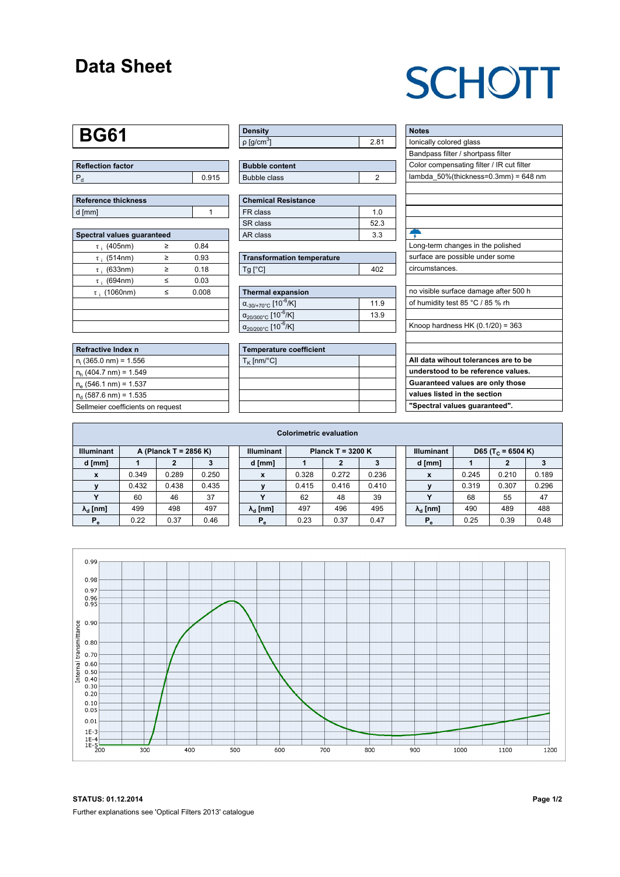#### **Data Sheet**

# **SCHOTT**

### **BG61**

| Reflection factor |       |  |  |  |  |  |
|-------------------|-------|--|--|--|--|--|
|                   | 0.915 |  |  |  |  |  |

| Reference thickness |  |
|---------------------|--|
| d [mm]              |  |

| Spectral values quaranteed |   |       |  |  |  |  |  |  |  |
|----------------------------|---|-------|--|--|--|--|--|--|--|
| $\tau$ ; (405nm)           | ≥ | 0.84  |  |  |  |  |  |  |  |
| $\tau$ ; (514nm)           | ≥ | 0.93  |  |  |  |  |  |  |  |
| $\tau$ ; (633nm)           | ≥ | 0.18  |  |  |  |  |  |  |  |
| $\tau$ ; (694nm)           | < | 0.03  |  |  |  |  |  |  |  |
| $\tau$ (1060nm)            | < | 0.008 |  |  |  |  |  |  |  |
|                            |   |       |  |  |  |  |  |  |  |
|                            |   |       |  |  |  |  |  |  |  |
|                            |   |       |  |  |  |  |  |  |  |

| Refractive Index n                |
|-----------------------------------|
| $n_i$ (365.0 nm) = 1.556          |
| $n_h$ (404.7 nm) = 1.549          |
| $n_e$ (546.1 nm) = 1.537          |
| $n_a$ (587.6 nm) = 1.535          |
| Sellmeier coefficients on request |

| Density                    |   |
|----------------------------|---|
| $ p $ [g/cm <sup>3</sup> ] | ŏ |

| <b>Bubble content</b> |  |
|-----------------------|--|
| Bubble class          |  |

| <b>Chemical Resistance</b> |     |  |  |  |  |  |  |
|----------------------------|-----|--|--|--|--|--|--|
| FR class                   | 1 በ |  |  |  |  |  |  |
| SR class                   | 523 |  |  |  |  |  |  |
| AR class                   | 33  |  |  |  |  |  |  |

| <b>Transformation temperature</b> |       |  |  |  |  |
|-----------------------------------|-------|--|--|--|--|
| $Tg$ [ $^{\circ}$ C]              | 1 N 2 |  |  |  |  |

| Thermal expansion                                 |      |
|---------------------------------------------------|------|
| $\alpha_{-30/+70\degree}$ c [10 <sup>-6</sup> /K] | 11.9 |
| $\alpha_{20/300^{\circ}C}$ [10 <sup>-6</sup> /K]  | 13.9 |
| $\alpha_{20/200^{\circ}C}$ [10 $\overline{6}$ /K] |      |

| <b>Temperature coefficient</b> |  |  |  |  |  |  |  |
|--------------------------------|--|--|--|--|--|--|--|
| $T_K$ [nm/°C]                  |  |  |  |  |  |  |  |
|                                |  |  |  |  |  |  |  |
|                                |  |  |  |  |  |  |  |
|                                |  |  |  |  |  |  |  |
|                                |  |  |  |  |  |  |  |

| <b>Notes</b>                              |
|-------------------------------------------|
| lonically colored glass                   |
| Bandpass filter / shortpass filter        |
| Color compensating filter / IR cut filter |
| lambda_50%(thickness=0.3mm) = 648 nm      |
|                                           |
|                                           |
|                                           |
|                                           |
|                                           |
| Long-term changes in the polished         |
| surface are possible under some           |
| circumstances.                            |
|                                           |
| no visible surface damage after 500 h     |
| of humidity test 85 °C / 85 % rh          |
|                                           |
| Knoop hardness HK $(0.1/20) = 363$        |
|                                           |
|                                           |
| All data wihout tolerances are to be      |
| understood to be reference values.        |
| Guaranteed values are only those          |
| values listed in the section              |
| "Spectral values quaranteed".             |

| <b>Colorimetric evaluation</b>             |       |       |       |                                          |                        |       |       |       |                                                    |                        |       |       |       |
|--------------------------------------------|-------|-------|-------|------------------------------------------|------------------------|-------|-------|-------|----------------------------------------------------|------------------------|-------|-------|-------|
| <b>Illuminant</b><br>A (Planck T = 2856 K) |       |       |       | <b>Illuminant</b><br>Planck T = $3200 K$ |                        |       |       |       | <b>Illuminant</b><br>D65 (T <sub>c</sub> = 6504 K) |                        |       |       |       |
| d [mm]                                     |       |       |       |                                          | d [mm]                 |       |       |       |                                                    | d [mm]                 |       |       |       |
| X                                          | 0.349 | 0.289 | 0.250 |                                          | X                      | 0.328 | 0.272 | 0.236 |                                                    | X                      | 0.245 | 0.210 | 0.189 |
|                                            | 0.432 | 0.438 | 0.435 |                                          |                        | 0.415 | 0.416 | 0.410 |                                                    |                        | 0.319 | 0.307 | 0.296 |
|                                            | 60    | 46    | 37    |                                          |                        | 62    | 48    | 39    |                                                    | v                      | 68    | 55    | 47    |
| $\lambda_{\rm d}$ [nm]                     | 499   | 498   | 497   |                                          | $\lambda_{\rm d}$ [nm] | 497   | 496   | 495   |                                                    | $\lambda_{\rm d}$ [nm] | 490   | 489   | 488   |
| $P_e$                                      | 0.22  | 0.37  | 0.46  |                                          | $P_e$                  | 0.23  | 0.37  | 0.47  |                                                    | $P_e$                  | 0.25  | 0.39  | 0.48  |
|                                            |       |       |       |                                          |                        |       |       |       |                                                    |                        |       |       |       |



**STATUS: 01.12.2014 Page 1/2** Further explanations see 'Optical Filters 2013' catalogue